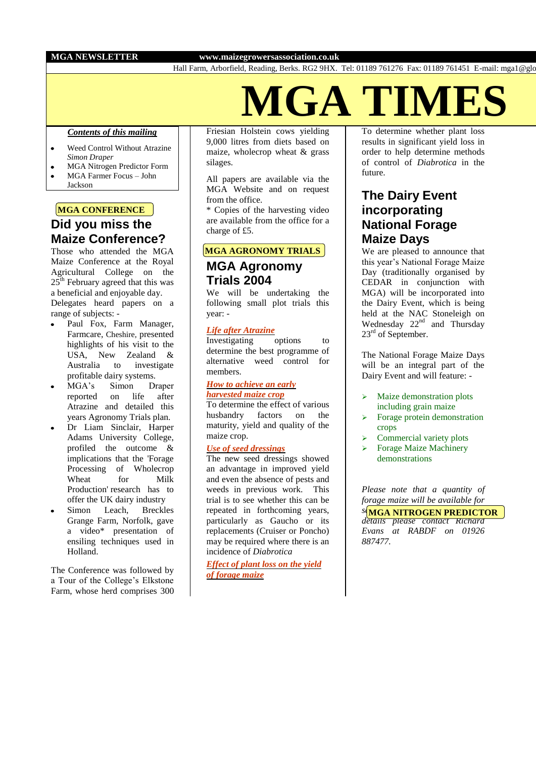## **MGA NEWSLETTER www.maizegrowersassociation.co.uk**

Hall Farm, Arborfield, Reading, Berks. RG2 9HX. Tel: 01189 761276 Fax: 01189 761451 E-mail: mga1@globalnet.co.uk

**IGA TIME** 

## *Contents of this mailing*

- Weed Control Without Atrazine  $\bullet$ *Simon Draper*
- MGA Nitrogen Predictor Form MGA Farmer Focus – John  $\ddot{\phantom{0}}$
- Jackson

## **MGA CONFERENCE**

# **Did you miss the Maize Conference?**

Those who attended the MGA Maize Conference at the Royal Agricultural College on the  $25<sup>th</sup>$  February agreed that this was a beneficial and enjoyable day. Delegates heard papers on a range of subjects: -

- Paul Fox, Farm Manager, Farmcare, Cheshire, presented highlights of his visit to the USA, New Zealand & Australia to investigate profitable dairy systems.
- MGA's Simon Draper reported on life after Atrazine and detailed this years Agronomy Trials plan.
- Dr Liam Sinclair, Harper Adams University College, profiled the outcome & implications that the 'Forage Processing of Wholecrop Wheat for Milk Production' research has to offer the UK dairy industry
- Simon Leach, Breckles Grange Farm, Norfolk, gave a video\* presentation of ensiling techniques used in Holland.

The Conference was followed by a Tour of the College's Elkstone Farm, whose herd comprises 300 Friesian Holstein cows yielding 9,000 litres from diets based on maize, wholecrop wheat & grass silages.

All papers are available via the MGA Website and on request from the office.

\* Copies of the harvesting video are available from the office for a charge of £5.

## **MGA AGRONOMY TRIALS**

## **MGA Agronomy Trials 2004**

We will be undertaking the following small plot trials this year: -

## *Life after Atrazine*

Investigating options to determine the best programme of alternative weed control for members.

### *How to achieve an early harvested maize crop*

To determine the effect of various husbandry factors on the maturity, yield and quality of the maize crop.

## *Use of seed dressings*

The new seed dressings showed an advantage in improved yield and even the absence of pests and weeds in previous work. This trial is to see whether this can be repeated in forthcoming years, particularly as Gaucho or its replacements (Cruiser or Poncho) may be required where there is an incidence of *Diabrotica*

*Effect of plant loss on the yield of forage maize*

To determine whether plant loss results in significant yield loss in order to help determine methods of control of *Diabrotica* in the future.

# **The Dairy Event incorporating National Forage Maize Days**

We are pleased to announce that this year's National Forage Maize Day (traditionally organised by CEDAR in conjunction with MGA) will be incorporated into the Dairy Event, which is being held at the NAC Stoneleigh on Wednesday 22<sup>nd</sup> and Thursday  $23<sup>rd</sup>$  of September.

The National Forage Maize Days will be an integral part of the Dairy Event and will feature: -

- $\triangleright$  Maize demonstration plots including grain maize
- $\triangleright$  Forage protein demonstration crops
- Commercial variety plots
- Forage Maize Machinery demonstrations

*Please note that a quantity of forage maize will be available for* 

*sale after the event, for full*  **MGA NITROGEN PREDICTOR** *details please contact Richard Evans at RABDF on 01926 887477.*